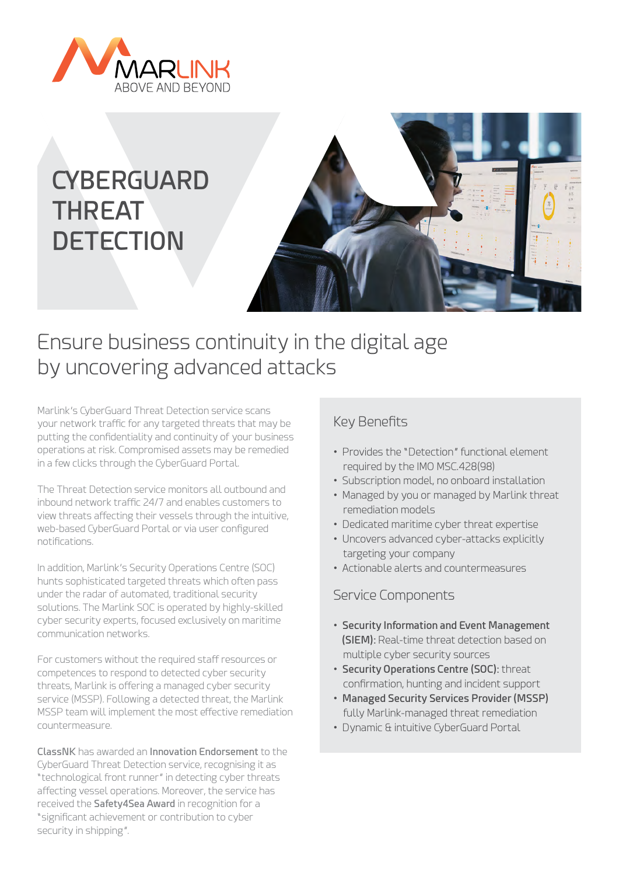

# **CYBERGUARD THREAT DETECTION**



## Ensure business continuity in the digital age by uncovering advanced attacks

Marlink's CyberGuard Threat Detection service scans your network traffic for any targeted threats that may be putting the confidentiality and continuity of your business operations at risk. Compromised assets may be remedied in a few clicks through the CyberGuard Portal.

The Threat Detection service monitors all outbound and inbound network traffic 24/7 and enables customers to view threats affecting their vessels through the intuitive, web-based CyberGuard Portal or via user configured notifications.

In addition, Marlink's Security Operations Centre (SOC) hunts sophisticated targeted threats which often pass under the radar of automated, traditional security solutions. The Marlink SOC is operated by highly-skilled cyber security experts, focused exclusively on maritime communication networks.

For customers without the required staff resources or competences to respond to detected cyber security threats, Marlink is offering a managed cyber security service (MSSP). Following a detected threat, the Marlink MSSP team will implement the most effective remediation countermeasure.

**ClassNK** has awarded an **Innovation Endorsement** to the CyberGuard Threat Detection service, recognising it as "technological front runner" in detecting cyber threats affecting vessel operations. Moreover, the service has received the **Safety4Sea Award** in recognition for a "significant achievement or contribution to cyber security in shipping".

### Key Benefits

- Provides the "Detection" functional element required by the IMO MSC.428(98)
- Subscription model, no onboard installation
- Managed by you or managed by Marlink threat remediation models
- Dedicated maritime cyber threat expertise
- Uncovers advanced cyber-attacks explicitly targeting your company
- Actionable alerts and countermeasures

#### Service Components

- **Security Information and Event Management (SIEM):** Real-time threat detection based on multiple cyber security sources
- **Security Operations Centre (SOC):** threat confirmation, hunting and incident support
- **Managed Security Services Provider (MSSP)** fully Marlink-managed threat remediation
- Dynamic & intuitive CyberGuard Portal